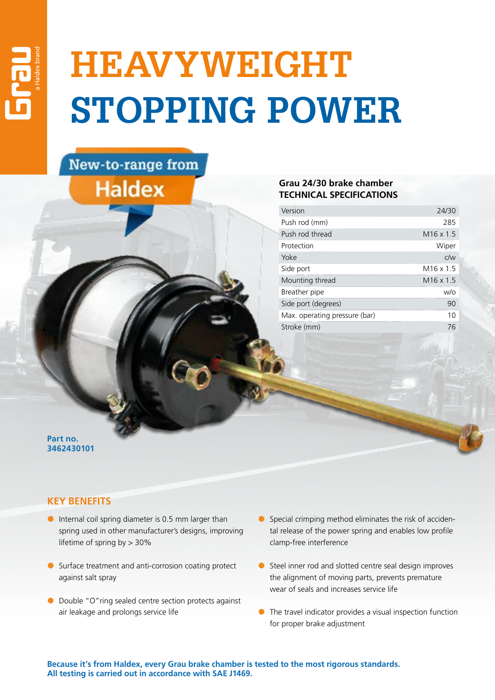## **HEAVYWEIGHT STOPPING POWER**

## New-to-range from **Haldex**

## **Grau 24/30 brake chamber TECHNICAL SPECIFICATIONS**

| Version                       | 24/30            |
|-------------------------------|------------------|
| Push rod (mm)                 | 285              |
| Push rod thread               | $M16 \times 1.5$ |
| Protection                    | Wiper            |
| Yoke                          | C/W              |
| Side port                     | $M16 \times 1.5$ |
| Mounting thread               | $M16 \times 1.5$ |
| Breather pipe                 | W/O              |
| Side port (degrees)           | 90               |
| Max. operating pressure (bar) | 10               |
| Stroke (mm)                   | 76               |

**Part no. 3462430101**

## **KEY BENEFITS**

- $\bullet$  Internal coil spring diameter is 0.5 mm larger than spring used in other manufacturer's designs, improving lifetime of spring by > 30%
- $\bullet$  Surface treatment and anti-corrosion coating protect against salt spray
- $\bullet$  Double "O"ring sealed centre section protects against air leakage and prolongs service life
- $\bullet$  Special crimping method eliminates the risk of accidental release of the power spring and enables low profile clamp-free interference
- $\bullet$  Steel inner rod and slotted centre seal design improves the alignment of moving parts, prevents premature wear of seals and increases service life
- $\bullet$  The travel indicator provides a visual inspection function for proper brake adjustment

**Because it's from Haldex, every Grau brake chamber is tested to the most rigorous standards. All testing is carried out in accordance with SAE J1469.**